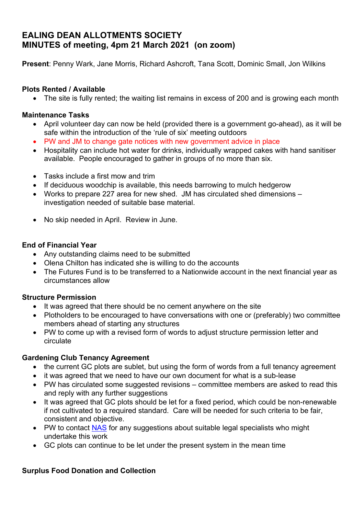# **EALING DEAN ALLOTMENTS SOCIETY MINUTES of meeting, 4pm 21 March 2021 (on zoom)**

**Present**: Penny Wark, Jane Morris, Richard Ashcroft, Tana Scott, Dominic Small, Jon Wilkins

### **Plots Rented / Available**

• The site is fully rented; the waiting list remains in excess of 200 and is growing each month

#### **Maintenance Tasks**

- April volunteer day can now be held (provided there is a government go-ahead), as it will be safe within the introduction of the 'rule of six' meeting outdoors
- PW and JM to change gate notices with new government advice in place
- Hospitality can include hot water for drinks, individually wrapped cakes with hand sanitiser available. People encouraged to gather in groups of no more than six.
- Tasks include a first mow and trim
- If deciduous woodchip is available, this needs barrowing to mulch hedgerow
- Works to prepare 227 area for new shed. JM has circulated shed dimensions investigation needed of suitable base material.
- No skip needed in April. Review in June.

### **End of Financial Year**

- Any outstanding claims need to be submitted
- Olena Chilton has indicated she is willing to do the accounts
- The Futures Fund is to be transferred to a Nationwide account in the next financial year as circumstances allow

# **Structure Permission**

- It was agreed that there should be no cement anywhere on the site
- Plotholders to be encouraged to have conversations with one or (preferably) two committee members ahead of starting any structures
- PW to come up with a revised form of words to adjust structure permission letter and circulate

# **Gardening Club Tenancy Agreement**

- the current GC plots are sublet, but using the form of words from a full tenancy agreement
- it was agreed that we need to have our own document for what is a sub-lease
- PW has circulated some suggested revisions committee members are asked to read this and reply with any further suggestions
- It was agreed that GC plots should be let for a fixed period, which could be non-renewable if not cultivated to a required standard. Care will be needed for such criteria to be fair, consistent and objective.
- PW to contact **NAS** for any suggestions about suitable legal specialists who might undertake this work
- GC plots can continue to be let under the present system in the mean time

# **Surplus Food Donation and Collection**